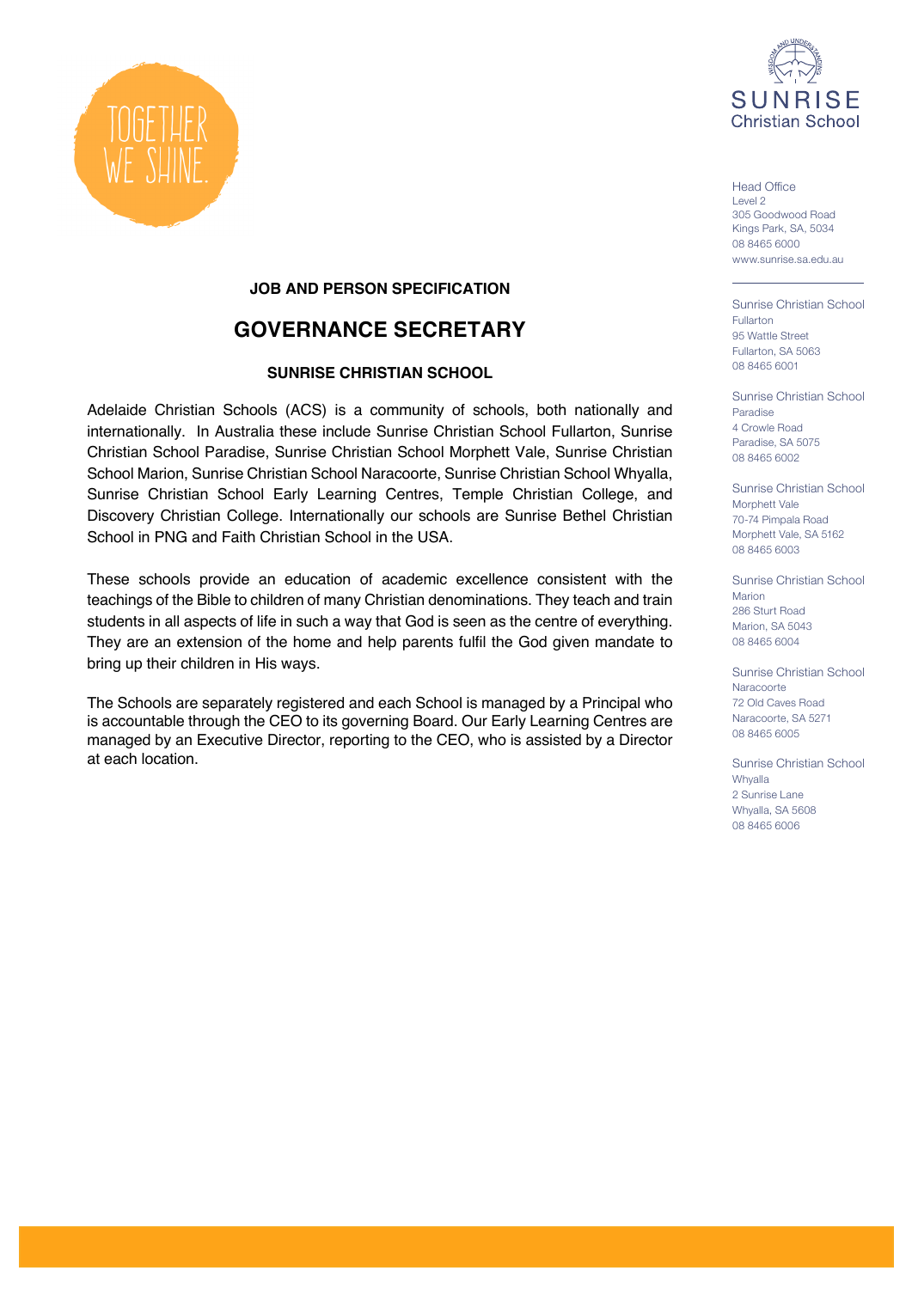

Head Office Level 2 305 Goodwood Road Kings Park, SA, 5034 08 8465 6000 www.sunrise.sa.edu.au

Sunrise Christian School Fullarton 95 Wattle Street Fullarton, SA 5063 08 8465 6001

Sunrise Christian School Paradise 4 Crowle Road Paradise, SA 5075 08 8465 6002

Sunrise Christian School Morphett Vale 70-74 Pimpala Road Morphett Vale, SA 5162 08 8465 6003

Sunrise Christian School Marion 286 Sturt Road Marion, SA 5043 08 8465 6004

Sunrise Christian School Naracoorte 72 Old Caves Road Naracoorte, SA 5271 08 8465 6005

Sunrise Christian School **Whyalla** 2 Sunrise Lane Whyalla, SA 5608 08 8465 6006



## **JOB AND PERSON SPECIFICATION**

# **GOVERNANCE SECRETARY**

## **SUNRISE CHRISTIAN SCHOOL**

Adelaide Christian Schools (ACS) is a community of schools, both nationally and internationally. In Australia these include Sunrise Christian School Fullarton, Sunrise Christian School Paradise, Sunrise Christian School Morphett Vale, Sunrise Christian School Marion, Sunrise Christian School Naracoorte, Sunrise Christian School Whyalla, Sunrise Christian School Early Learning Centres, Temple Christian College, and Discovery Christian College. Internationally our schools are Sunrise Bethel Christian School in PNG and Faith Christian School in the USA.

These schools provide an education of academic excellence consistent with the teachings of the Bible to children of many Christian denominations. They teach and train students in all aspects of life in such a way that God is seen as the centre of everything. They are an extension of the home and help parents fulfil the God given mandate to bring up their children in His ways.

The Schools are separately registered and each School is managed by a Principal who is accountable through the CEO to its governing Board. Our Early Learning Centres are managed by an Executive Director, reporting to the CEO, who is assisted by a Director at each location.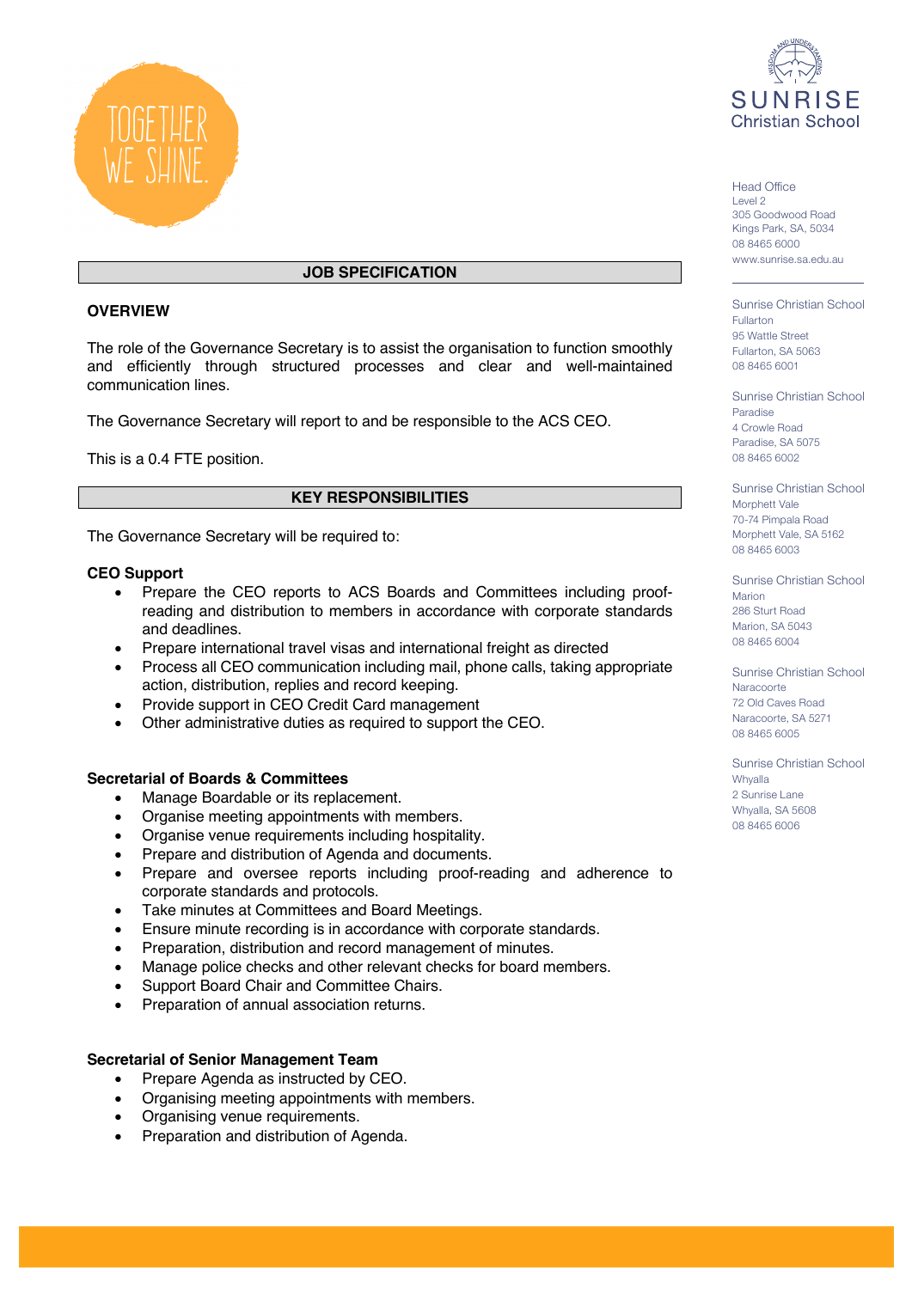

## **JOB SPECIFICATION**

## **OVERVIEW**

The role of the Governance Secretary is to assist the organisation to function smoothly and efficiently through structured processes and clear and well-maintained communication lines.

The Governance Secretary will report to and be responsible to the ACS CEO.

This is a 0.4 FTE position.

## **KEY RESPONSIBILITIES**

The Governance Secretary will be required to:

### **CEO Support**

- Prepare the CEO reports to ACS Boards and Committees including proofreading and distribution to members in accordance with corporate standards and deadlines.
- Prepare international travel visas and international freight as directed
- Process all CEO communication including mail, phone calls, taking appropriate action, distribution, replies and record keeping.
- Provide support in CEO Credit Card management
- Other administrative duties as required to support the CEO.

## **Secretarial of Boards & Committees**

- Manage Boardable or its replacement.
- Organise meeting appointments with members.
- Organise venue requirements including hospitality.
- Prepare and distribution of Agenda and documents.
- Prepare and oversee reports including proof-reading and adherence to corporate standards and protocols.
- Take minutes at Committees and Board Meetings.
- Ensure minute recording is in accordance with corporate standards.
- Preparation, distribution and record management of minutes.
- Manage police checks and other relevant checks for board members.
- Support Board Chair and Committee Chairs.
- Preparation of annual association returns.

## **Secretarial of Senior Management Team**

- Prepare Agenda as instructed by CEO.
- Organising meeting appointments with members.
- Organising venue requirements.
- Preparation and distribution of Agenda.



Head Office Level 2 305 Goodwood Road Kings Park, SA, 5034 08 8465 6000 www.sunrise.sa.edu.au

Sunrise Christian School Fullarton 95 Wattle Street Fullarton, SA 5063 08 8465 6001

Sunrise Christian School Paradise 4 Crowle Road Paradise, SA 5075 08 8465 6002

Sunrise Christian School Morphett Vale 70-74 Pimpala Road Morphett Vale, SA 5162 08 8465 6003

Sunrise Christian School Marion 286 Sturt Road Marion, SA 5043 08 8465 6004

Sunrise Christian School Naracoorte 72 Old Caves Road Naracoorte, SA 5271 08 8465 6005

Sunrise Christian School Whyalla 2 Sunrise Lane Whyalla, SA 5608 08 8465 6006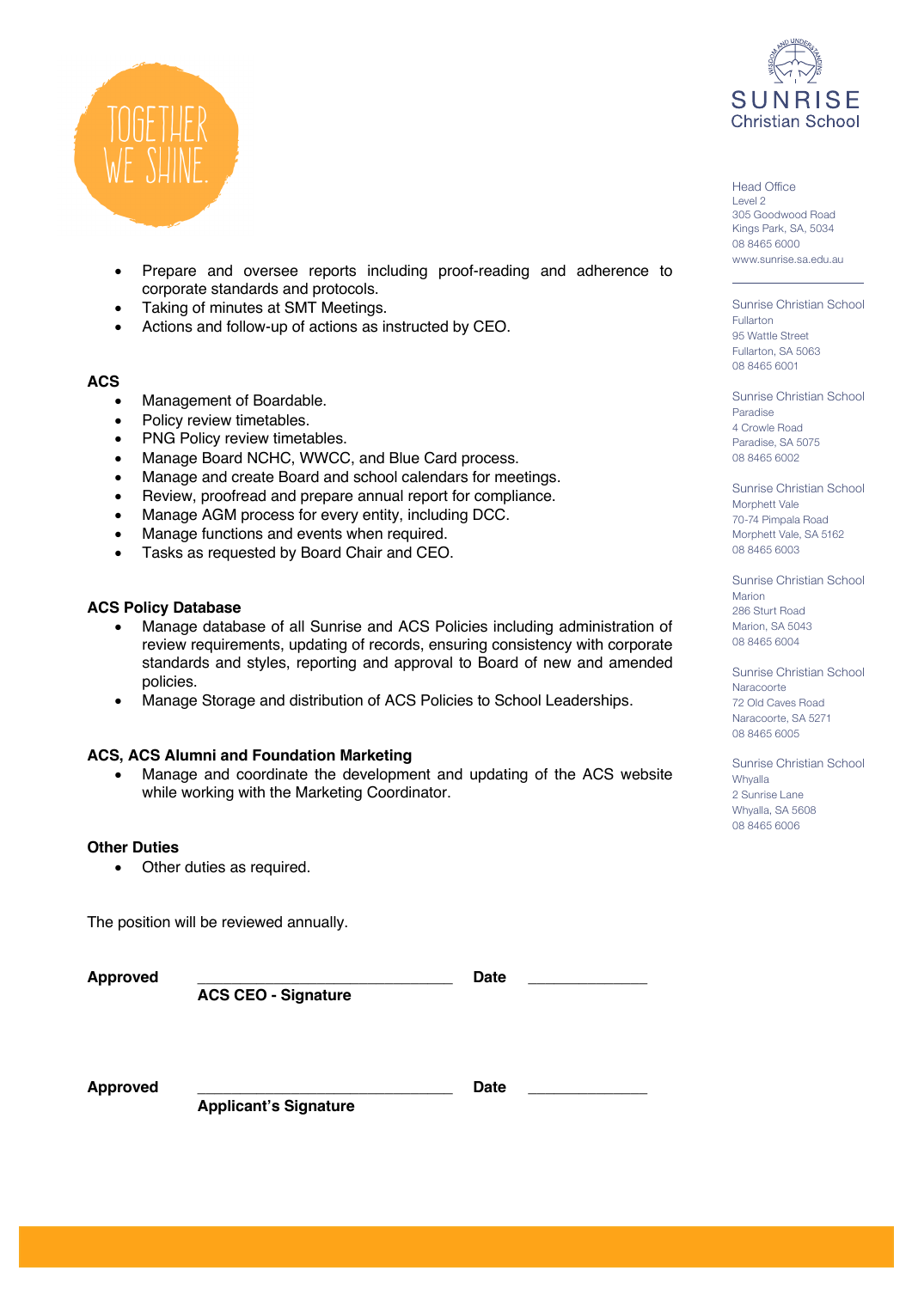

- Prepare and oversee reports including proof-reading and adherence to corporate standards and protocols.
- Taking of minutes at SMT Meetings.
- Actions and follow-up of actions as instructed by CEO.

#### **ACS**

- Management of Boardable.
- Policy review timetables.
- PNG Policy review timetables.
- Manage Board NCHC, WWCC, and Blue Card process.
- Manage and create Board and school calendars for meetings.
- Review, proofread and prepare annual report for compliance.
- Manage AGM process for every entity, including DCC.
- Manage functions and events when required.
- Tasks as requested by Board Chair and CEO.

#### **ACS Policy Database**

- Manage database of all Sunrise and ACS Policies including administration of review requirements, updating of records, ensuring consistency with corporate standards and styles, reporting and approval to Board of new and amended policies.
- Manage Storage and distribution of ACS Policies to School Leaderships.

#### **ACS, ACS Alumni and Foundation Marketing**

• Manage and coordinate the development and updating of the ACS website while working with the Marketing Coordinator.

#### **Other Duties**

• Other duties as required.

The position will be reviewed annually.

**Approved \_\_\_\_\_\_\_\_\_\_\_\_\_\_\_\_\_\_\_\_\_\_\_\_\_\_\_\_\_\_ Date \_\_\_\_\_\_\_\_\_\_\_\_\_\_**

 **ACS CEO - Signature**

Approved **Date Date** 

**Applicant's Signature** 



Head Office Level 2 305 Goodwood Road Kings Park, SA, 5034 08 8465 6000 www.sunrise.sa.edu.au

Sunrise Christian School Fullarton 95 Wattle Street Fullarton, SA 5063 08 8465 6001

Sunrise Christian School Paradise 4 Crowle Road Paradise, SA 5075 08 8465 6002

Sunrise Christian School Morphett Vale 70-74 Pimpala Road Morphett Vale, SA 5162 08 8465 6003

Sunrise Christian School Marion 286 Sturt Road Marion, SA 5043 08 8465 6004

Sunrise Christian School Naracoorte 72 Old Caves Road Naracoorte, SA 5271 08 8465 6005

Sunrise Christian School Whyalla 2 Sunrise Lane Whyalla, SA 5608 08 8465 6006